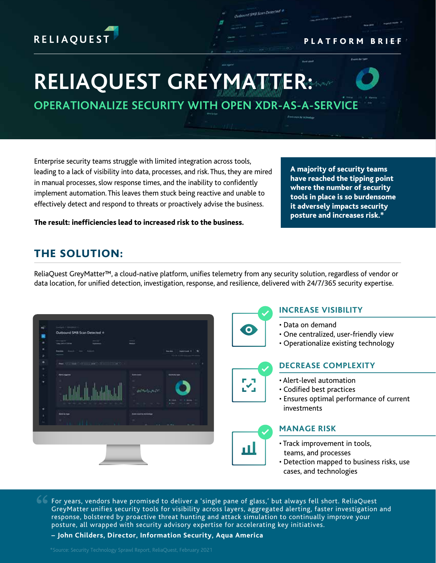# **RELIAQUEST**

# **RELIAQUEST GREYMATTER:**

**OPERATIONALIZE SECURITY WITH OPEN XDR-AS-A-SERVICE**

Outbound SNB Scan Detecte

Enterprise security teams struggle with limited integration across tools, leading to a lack of visibility into data, processes, and risk. Thus, they are mired in manual processes, slow response times, and the inability to confidently implement automation. This leaves them stuck being reactive and unable to effectively detect and respond to threats or proactively advise the business.

have reached the tipping point where the number of security tools in place is so burdensome it adversely impacts security posture and increases risk.\*

A majority of security teams

PLATFORM BRIEF

The result: inefficiencies lead to increased risk to the business.

## THE SOLUTION:

ReliaQuest GreyMatter™, a cloud-native platform, unifies telemetry from any security solution, regardless of vendor or data location, for unified detection, investigation, response, and resilience, delivered with 24/7/365 security expertise.



For years, vendors have promised to deliver a 'single pane of glass,' but always fell short. ReliaQuest GreyMatter unifies security tools for visibility across layers, aggregated alerting, faster investigation and response, bolstered by proactive threat hunting and attack simulation to continually improve your posture, all wrapped with security advisory expertise for accelerating key initiatives.

**– John Childers, Director, Information Security, Aqua America**